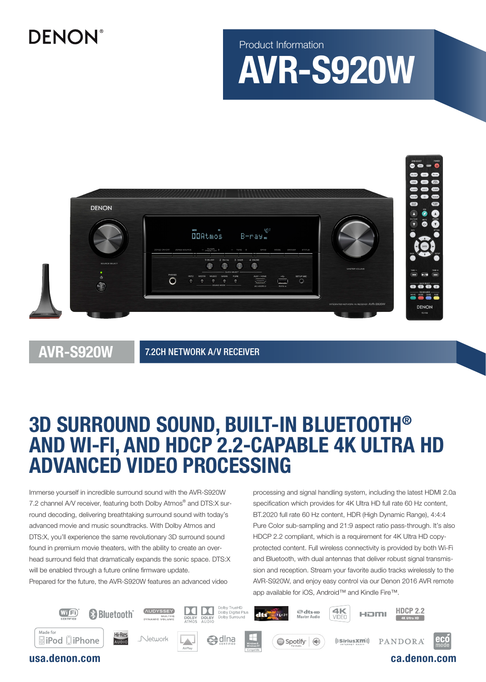# **DENON®**

Product Information

# AVR-S920W



AVR-S920W

7.2CH NETWORK A/V RECEIVER

# 3D SURROUND SOUND, BUILT-IN BLUETOOTH® AND WI-FI, AND HDCP 2.2-CAPABLE 4K ULTRA HD ADVANCED VIDEO PROCESSING

Immerse yourself in incredible surround sound with the AVR-S920W 7.2 channel A/V receiver, featuring both Dolby Atmos® and DTS:X surround decoding, delivering breathtaking surround sound with today's advanced movie and music soundtracks. With Dolby Atmos and DTS:X, you'll experience the same revolutionary 3D surround sound found in premium movie theaters, with the ability to create an overhead surround field that dramatically expands the sonic space. DTS:X will be enabled through a future online firmware update. Prepared for the future, the AVR-S920W features an advanced video

processing and signal handling system, including the latest HDMI 2.0a specification which provides for 4K Ultra HD full rate 60 Hz content, BT.2020 full rate 60 Hz content, HDR (High Dynamic Range), 4:4:4 Pure Color sub-sampling and 21:9 aspect ratio pass-through. It's also HDCP 2.2 compliant, which is a requirement for 4K Ultra HD copyprotected content. Full wireless connectivity is provided by both Wi-Fi and Bluetooth, with dual antennas that deliver robust signal transmission and reception. Stream your favorite audio tracks wirelessly to the AVR-S920W, and enjoy easy control via our Denon 2016 AVR remote app available for iOS, Android™ and Kindle Fire™.